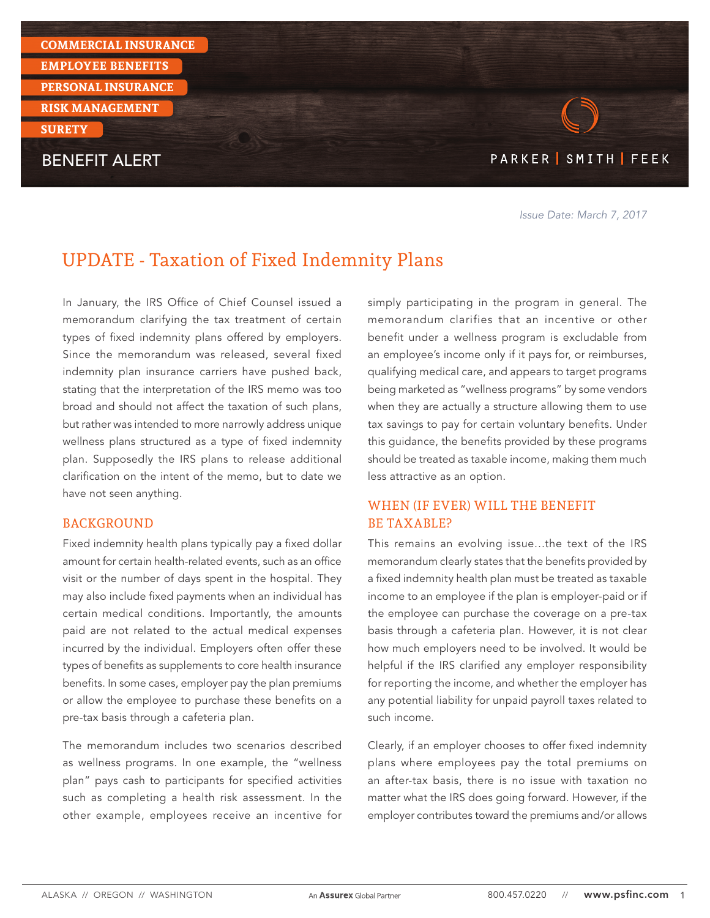

Issue Date: March 7, 2017

# UPDATE - Taxation of Fixed Indemnity Plans

In January, the IRS Office of Chief Counsel issued a memorandum clarifying the tax treatment of certain types of fixed indemnity plans offered by employers. Since the memorandum was released, several fixed indemnity plan insurance carriers have pushed back, stating that the interpretation of the IRS memo was too broad and should not affect the taxation of such plans, but rather was intended to more narrowly address unique wellness plans structured as a type of fixed indemnity plan. Supposedly the IRS plans to release additional clarification on the intent of the memo, but to date we have not seen anything.

#### BACKGROUND

Fixed indemnity health plans typically pay a fixed dollar amount for certain health-related events, such as an office visit or the number of days spent in the hospital. They may also include fixed payments when an individual has certain medical conditions. Importantly, the amounts paid are not related to the actual medical expenses incurred by the individual. Employers often offer these types of benefits as supplements to core health insurance benefits. In some cases, employer pay the plan premiums or allow the employee to purchase these benefits on a pre-tax basis through a cafeteria plan.

The memorandum includes two scenarios described as wellness programs. In one example, the "wellness plan" pays cash to participants for specified activities such as completing a health risk assessment. In the other example, employees receive an incentive for simply participating in the program in general. The memorandum clarifies that an incentive or other benefit under a wellness program is excludable from an employee's income only if it pays for, or reimburses, qualifying medical care, and appears to target programs being marketed as "wellness programs" by some vendors when they are actually a structure allowing them to use tax savings to pay for certain voluntary benefits. Under this guidance, the benefits provided by these programs should be treated as taxable income, making them much less attractive as an option.

### WHEN (IF EVER) WILL THE BENEFIT BE TAXABLE?

This remains an evolving issue…the text of the IRS memorandum clearly states that the benefits provided by a fixed indemnity health plan must be treated as taxable income to an employee if the plan is employer-paid or if the employee can purchase the coverage on a pre-tax basis through a cafeteria plan. However, it is not clear how much employers need to be involved. It would be helpful if the IRS clarified any employer responsibility for reporting the income, and whether the employer has any potential liability for unpaid payroll taxes related to such income.

Clearly, if an employer chooses to offer fixed indemnity plans where employees pay the total premiums on an after-tax basis, there is no issue with taxation no matter what the IRS does going forward. However, if the employer contributes toward the premiums and/or allows